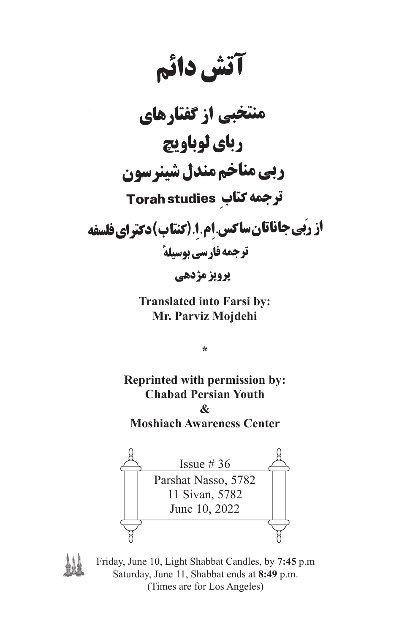آتش دائم

نخبی از گفتارهای رباي لوباويچ ربي مناخم مندل شينرسون **ترجمه کتاب Torah studies** از رَبِّي جاناتان ساكس إم ا (كنتاب) دكتراي فلسفه ترجمه فارسي بوسيلةً

يرويز مژدهي

**Translated into Farsi by: Mr. Parviz Mojdehi**

**\***

**Reprinted with permission by: Chabad Persian Youth & Moshiach Awareness Center**





Friday, June 10, Light Shabbat Candles, by **7:45** p.m Saturday, June 11, Shabbat ends at **8:49** p.m. (Times are for Los Angeles)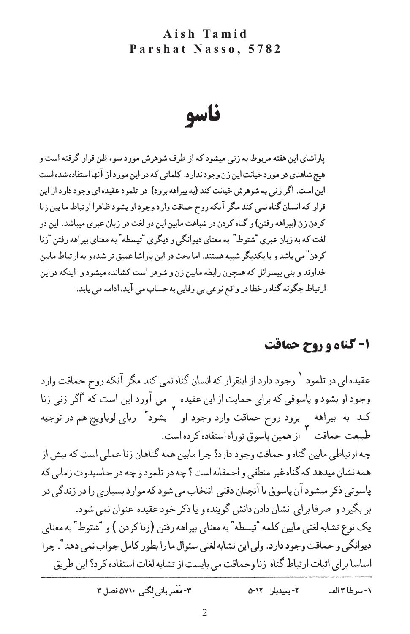ناسو

باراشای این هفته مربوط به زنبر میشود که از طرف شوهرش مورد سوء ظن قرار گرفته است و هیج شاهدی در مورد خیانت این زن وجود ندارد. کلماتی که در این مورد از آنها استفاده شده است این است. اگر زنی به شوهرش خیانت کند (به بیراهه برود) در تلمود عقیده ای وجود دارد از این قرار که انسان گناه نمی کند مگر آنکه روح حماقت وارد وجود او بشود ظاهرا ارتباط ما بین زنا کردن زن (بیراهه رفتن) و گناه کردن در شباهت مابین این دو لغت در زبان عبری میباشد. این دو لغت که به زبان عبری "شتوط" به معنای دیوانگی و دیگری "تیسطه" به معنای بیراهه رفتن "زنا کردن"می باشد و با یکدیگر شبیه هستند. اما بحث در این پاراشا عمیق تر شده و به ار تباط مابین خداوند و بنی پیسرائل که همچون رابطه مابین زن و شوهر است کشانده میشود و آینکه دراین ارتباط جگونه گناه و خطا در واقع نوعی بی وفایی به حساب می آید، ادامه می یابد.

### ۱- گناه و روح حماقت

عقیده ا<sub>ی</sub> در تلمود <sup>۱</sup> وجود دارد از اینقرار که انسان گناه نمی کند مگر آنکه روح حماقت وارد وجود او بشود و پاسوقی که برای حمایت از این عقیده په می آورد این است که "اگر زنی زنا<br>. کند به بیراهه برود روح حماقت وارد وجود او بشود" ربای لوباویج هم در توجیه طبیعت حماقت ` از همین پاسوق توراه استفاده کرده است. چه ارتباطی مابین گناه و حماقت وجود دارد؟ چرا مابین همه گناهان زنا عملی است که بیش از همه نشان میدهد که گناه غیر منطقی و احمقانه است ؟ چه در تلمود و چه در حاسیدوت زمانی که پاسونی ذکر میشود آن پاسوق با آنچنان دقتی انتخاب می شود که موارد بسیاری را در زندگی در بر بگیرد و صرفا برای نشان دادن دانش گوینده و یا ذکر خود عقیده عنوان نمی شود. یک نوع تشابه لغتی مابین کلمه "تیسطه" به معنای بیراهه رفتن (زناکردن ) و "شتوط" به معنای دیوانگی و حماقت وجود دارد. ولی این تشابه لغتی سئوال ما را بطور کامل جواب نمی دهد ". چرا اساسا براي اثبات ارتباط گناه زنا وحماقت مي بايست از تشابه لغات استفاده كرد؟ اين طريق

> ٣- مَعَمر باتى لكنى ٥٧١٠ فصل ٣ ٢- بميدبار ٥-٢٥ ١- سوطا ٣ الف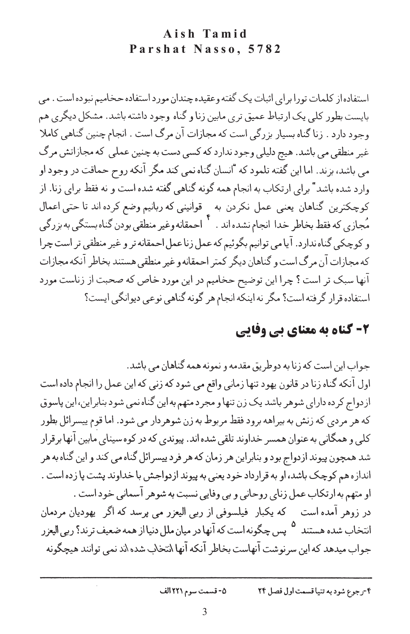استفاده از کلمات تورا برای اثبات یک گفته وعقیده چندان مورد استفاده حخامیم نبوده است . می پايست بطور کلي يک ارتباط عميق تري مابين زنا و گناه وجود داشته باشد. مشکل ديگري هم وجود دارد . زنا گناه بسیار بزرگی است که مجازات آن مرگ است . انجام چنین گناهی کاملا غیر منطقی می باشد. هیج دلیلی وجود ندارد که کسی دست به چنین عملی که مجازاتش مرگ می باشد، بزند. اما این گفته تلمود که "انسان گناه نمی کند مگر آنکه روح حماقت در وجود او وارد شده باشد" برای ارتکاب به انجام همه گونه گناهی گفته شده است و نه فقط برای زنا. از كوچكترين گناهان يعني عمل نكردن به \_ قوانيني كه ربانيم وضع كرده اند تا حتى اعمال مُجازى كه فقط بخاطر خدا انجام نشده اند . <sup>٢</sup> احمقانه وغير منطقى بودن گناه بستگى به بزرگى و کوچکی گناه ندارد. آیامی توانیم بگوئیم که عمل زنا عمل احمقانه تر و غیر منطقی تر است چرا كه مجازات آن مرگ است و گناهان ديگر كمتر احمقانه و غير منطقي هستند بخاطر آنكه مجازات آنها سبک تر است ؟ چرا این توضیح حخامیم در این مورد خاص که صحبت از زناست مورد استفاده قرار گرفته است؟ مگر نه اینکه انجام هر گونه گناهی نوعی دیوانگی ایست؟

## ۲- گناه به معنای بی وفایی

جواب این است که زنا به دوطریق مقدمه و نمونه همه گناهان می باشد. اول آنکه گناه زنا در قانون یهود تنها زمانی واقع می شود که زنی که این عمل را انجام داده است از دواج کر ده دارای شوهر باشد یک زن تنها و مجر د متهم به این گناه نمی شود بنابر این، این پاسوق که هر مردی که زنش به بیراهه برود فقط مربوط به زن شوهردار می شود. اما قوم پیسرائل بطور کلی و همگانی به عنوان همسر خداوند تلقی شده اند. پیوندی که در کوه سینای مابین آنها برقرار شد همچون پیوند ازدواج بود و بنابراین هر زمان که هر فرد پیسرائل گناه می کند و این گناه به هر اندازه هم کوچک باشد، او به قرارداد خود یعنی به پیوند ازدواجش با خداوند پشت پا زده است . او متهم به ارتکاب عمل زنای روحانی و بی وفایی نسبت به شوهر آسمانی خود است . در زوهر آمده است که یکبار فیلسوفی از ربی الیعزر می پرسد که اگر یهودیان مردمان انتخاب شده هستند <sup>۵</sup> پس چگونه است که آنها در میان ملل دنیا از همه ضعیف ترند؟ ربی الیعزر جواب میدهد که این سر نوشت آنهاست بخاطر آنکه آنها \نتخاب شده \ند نمی توانند هیچگونه

> ٥- قسمت سوم ٢٢١ الف ۴-رجوع شود به تنيا قسمت اول فصل ٢۴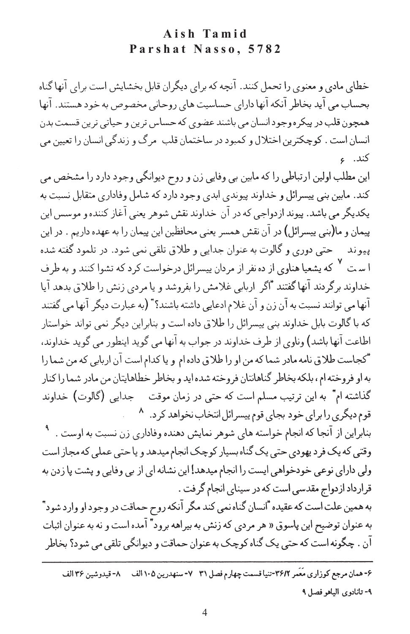خطای مادی و معنوی را تحمل کنند. آنچه که برای دیگران قابل بخشایش است برای آنها گناه بحساب مي آيد بخاطر آنكه آنها داراي حساسيت هاي روحاني مخصوص به خود هستند. آنها همچون قلب در پیکره وجود انسان می باشند عضوی که حساس ترین و حیاتی ترین قسمت بدن انسان است . كوچكترين اختلال و كمبود در ساختمان قلب ٍ مرگ و زندگي انسان را تعيين مي کند. ء

این مطلب اولین ارتباطی را که مابین بی وفایی زن و روح دیوانگی وجود دارد را مشخص می کند. مابین بنی پیسرائل و خداوند پیوندی ابدی وجود دارد که شامل وفاداری متقابل نسبت به يكديگر مي باشد. پيوند ازدواجي كه در آن خداوند نقش شوهر يعني آغاز كننده و موسس اين پیمان و ما(بنی پیسرائل) در آن نقش همسر یعنی محافظین این پیمان را به عهده داریم . در این پیوند – حتبی دوری و گالوت به عنوان جدایی و طلاق تلقی نمی شود. در تلمود گفته شده ا سرت <sup>۷</sup> که یشعیا هناوی از ده نفر از مردان پیسرائل درخواست کرد که تشوا کنند و به طرف خداوند برگردند آنها گفتند "اگر اربابی غلامش را بفروشد و یا مردی زنش را طلاق بدهد آیا أنها مي توانند نسبت به أن زن و أن غلام ادعايي داشته باشند؟" (به عبارت ديگر أنها مي گفتند که با گالوت بابل خداوند بنی پیسرائل را طلاق داده است و بنابراین دیگر نمی تواند خواستار اطاعت آنها باشد) وناوي از طرف خداوند در جواب به آنها مي گويد اينطور مي گويد خداوند، \*كجاست طلاق نامه مادر شما كه من او را طلاق داده ام و يا كدام است آن اربابي كه من شما را به او فروخته ام ، بلکه بخاطر گناهانتان فروخته شده اید و بخاطر خطاهایتان من مادر شما را کنار گذاشته ام\* به این ترتیب مسلم است که حتی در زمان موقت حجدایی (گالوت) خداوند قوم دیگری را برای خود بجای قوم پیسرائل انتخاب نخواهد کرد. ^

بنابراین از آنجا که انجام خواسته های شوهر نمایش دهنده وفاداری زن نسبت به اوست . <sup>۹</sup> وقتی که یک فر د پهودی حتی یک گناه بسیار کوچک انجام میدهد و یا حتی عملی که مجاز است ولي داراي نوعي خودخواهي ايست را انجام ميدهد! اين نشانه اي از بي وفايي و پشت پا زدن به قرارداد ازدواج مقدسی است که در سینای انجام گرفت .

به همین علت است که عقیده "انسان گناه نمی کند مگر آنکه روح حماقت در وجود او وارد شود" به عنوان توضیح این پاسوق « هر مرد<sub>ی</sub> که زنش به بیراهه برود" آمده است و نه به عنوان اثبات آن . چگونه است که حتی یک گناه کوچک به عنوان حماقت و دیوانگی تلقی می شود؟ بخاطر

۶-همان مرجع كوزاري مَعَمر ٣۶/٢-تنيا قسمت چهارم فصل ٣١-٢-سنهدرين ١٠٥ الف ٢٠- قيدوشين ٣۶ الف ۹- تانادوي الياهو فصل ۹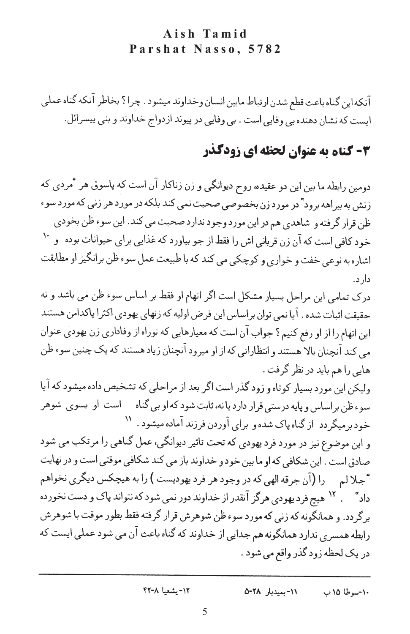آنكه اين گناه باعث قطع شدن ارتباط مابين انسان وخداوند ميشود . چرا؟ بخاطر آنكه گناه عملي ایست که نشان دهنده بی وفایی است . بی وفایی در پیوند ازدواج خداوند و بنی پیسرائل.

## 4- کناه به عنوان لحظه ای زودگذر

دومین رابطه ما بین این دو عقیده، روح دیوانگی و زن زناکار آن است که پاسوق هر "مردی که زنش به بیراهه برود" در مورد زن بخصوصی صحبت نمی کند بلکه در مورد هر زنی که مورد سوء ظن قرار گرفته و شاهدي هم در اين مورد وجود ندارد صحبت مي كند. اين سوء ظن بخودي خود کافی است که آن زن قربانی اش را فقط از جو بیاورد که غذایی برای حیوانات بوده و `` اشاره به نوعی خفت و خواری و کوچکی می کند که با طبیعت عمل سوء ظن برانگیز او مطابقت دار د.

درک تمامی این مراحل بسیار مشکل است اگر اتهام او فقط بر اساس سوء ظن می باشد و نه حقيقت اثبات شده . آيا نمي توان براساس اين فرض اوليه كه زنهاي يهودي اكثرا پاكدامن هستند این اتهام را از او رفع کنیم ؟ جواب آن است که معیارهایی که توراه از وفاداری زن یهودی عنوان می کند آنچنان بالا هستند و انتظاراتی که از او میرود آنچنان زیاد هستند که یک چنین سوء ظن هایی را هم باید در نظر گرفت .

ولیکن این مورد بسیار کوتاه و زود گذر است اگر بعد از مراحلی که تشخیص داده میشود که آیا سوءظن براساس و پایه درستی قرار دارد یا نه، ثابت شود که او بی گناه داست او بسوی شوهر خودبرمیگردد از گناه پاک شده و برای آوردن فرزند آماده میشود . ''

و این موضوع نیز در مورد فرد یهودی که تحت تاثیر دیوانگی، عمل گناهی را مرتکب می شود صادق است . این شکافی که او ما بین خود و خداوند باز می کند شکافی موقتی است و در نهایت \*جلالم درا (آن جرقه الهي كه در وجود هر فرد يهوديست ) را به هيچكس ديگري نخواهم داد " میچ فرد یهودی هرگز آنقدر از خداوند دور نمی شود که نتواند پاک و دست نخورده برگردد. و همانگونه که زنی که مورد سوء ظن شوهرش قرار گرفته فقط بطور موقت با شوهرش رابطه همسری ندارد همانگونه هم جدایی از خداوند که گناه باعث آن می شود عملی ایست که در یک لحظه زود گذر واقع می شود .

> ٠١٢- يشعيا ٢٢-۴٢ ٠١١- بميدبار ٥٠٢٨ ١٠-سوطا ١۵ ب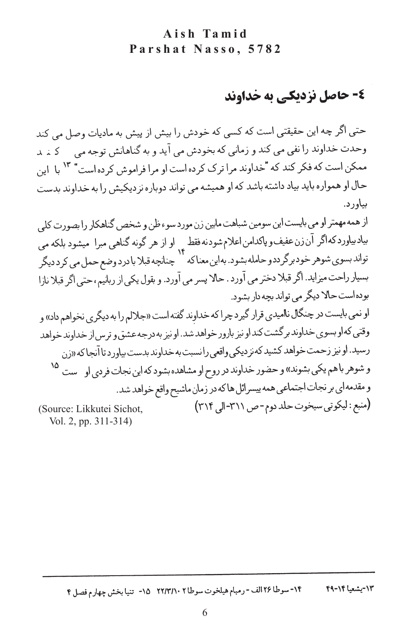## ٤- حاصل نزدیکی به خداوند

حتى اگر چه اين حقيقتي است كه كسي كه خودش را بيش از پيش به ماديات وصل مي كند وحدت خداوند را نفي مي كند و زماني كه بخودش مي آيد و به گناهانش توجه مي \_ كـ نـ يد ممکن است که فکر کند که "خداوند مرا ترک کرده است او مرا فراموش کرده است" ۱۳ با ۱ین حال او همواره باید بیاد داشته باشد که او همیشه می تواند دوباره نزدیکیش را به خداوند بدست بياور د.

از همه مهمتر او می بایست این سومین شباهت مایین زن مورد سوء ظن و شخص گناهکار را بصورت کلی بیادبیاوردکهاگر آن¿ن عفیف و پاکدامن اعلام شودنه فقط <sub>بر</sub> او از هر گونه گناهیی مبرا میشود بلکه می س کرد ہے۔<br>تواند بسوی شوہر خودبرگرددو حامله بشود. به این معناکه ۱۴ چنانچه قبلا با درد وضع حمل می کرد دیگر بسیار راحت میزاید. اگر قبلا دختر می آورد . حالا پسر می آورد. و بقول یکی از ربانیم، حتی اگر قبلا نازا بوده است حالا دیگر می تواند بچه دار بشود.

او نمي بايست در چنگال نااميد<sub>ي</sub> قرار گيرد چرا كه خداوند گفته است «جلالم را به ديگر<sub>ي</sub> نخواهم داد» و وقتی که او بسوی خداوند برگشت کند او نیز بارور خواهد شد. او نیز به درجه عشق و ترس از حداوند خواهد رسید. او نیز زحمت خواهد کشید که نزدیکی واقعی را نسبت به خداوند بدست بیاورد تا آنجا که «زن و شوهر باهم یکی بشوند» و حضور خداوند در روح او مشاهده بشود که این نجات فردی او مست <sup>۱۵</sup> و مقدمه ا<sub>ی</sub> بر نجات اجتماعی همه پیسرائل ها که در زمان ماشیح واقع خواهد شد. (منبع: ليكوني سيخوت حلد دوم-ص ٣١١١-الى ٣١٤) (Source: Likkutei Sichot,

Vol. 2, pp. 311-314)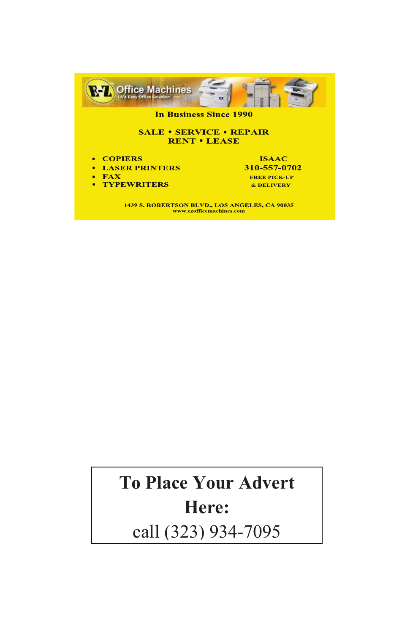

## **To Place Your Advert Here:**

7 call (323) 934-7095